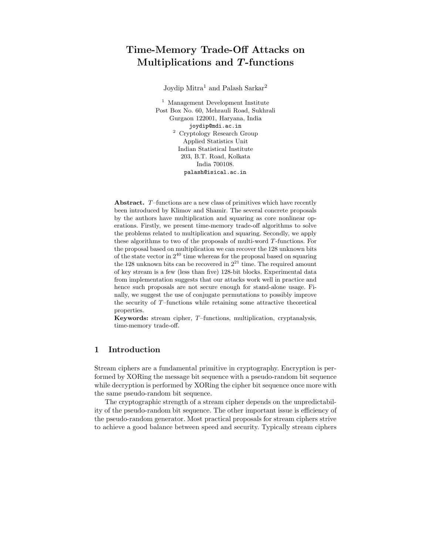# Time-Memory Trade-Off Attacks on Multiplications and T -functions

Joydip Mitra<sup>1</sup> and Palash Sarkar<sup>2</sup>

<sup>1</sup> Management Development Institute Post Box No. 60, Mehrauli Road, Sukhrali Gurgaon 122001, Haryana, India joydip@mdi.ac.in <sup>2</sup> Cryptology Research Group Applied Statistics Unit Indian Statistical Institute 203, B.T. Road, Kolkata India 700108. palash@isical.ac.in

Abstract. T–functions are a new class of primitives which have recently been introduced by Klimov and Shamir. The several concrete proposals by the authors have multiplication and squaring as core nonlinear operations. Firstly, we present time-memory trade-off algorithms to solve the problems related to multiplication and squaring. Secondly, we apply these algorithms to two of the proposals of multi-word T-functions. For the proposal based on multiplication we can recover the 128 unknown bits of the state vector in  $2^{40}$  time whereas for the proposal based on squaring the 128 unknown bits can be recovered in  $2^{21}$  time. The required amount of key stream is a few (less than five) 128-bit blocks. Experimental data from implementation suggests that our attacks work well in practice and hence such proposals are not secure enough for stand-alone usage. Finally, we suggest the use of conjugate permutations to possibly improve the security of T–functions while retaining some attractive theoretical properties.

Keywords: stream cipher, T–functions, multiplication, cryptanalysis, time-memory trade-off.

# 1 Introduction

Stream ciphers are a fundamental primitive in cryptography. Encryption is performed by XORing the message bit sequence with a pseudo-random bit sequence while decryption is performed by XORing the cipher bit sequence once more with the same pseudo-random bit sequence.

The cryptographic strength of a stream cipher depends on the unpredictability of the pseudo-random bit sequence. The other important issue is efficiency of the pseudo-random generator. Most practical proposals for stream ciphers strive to achieve a good balance between speed and security. Typically stream ciphers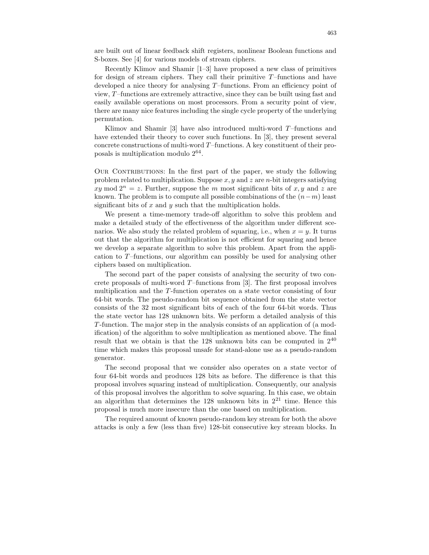are built out of linear feedback shift registers, nonlinear Boolean functions and S-boxes. See [4] for various models of stream ciphers.

Recently Klimov and Shamir [1–3] have proposed a new class of primitives for design of stream ciphers. They call their primitive  $T$ -functions and have developed a nice theory for analysing T–functions. From an efficiency point of view, T–functions are extremely attractive, since they can be built using fast and easily available operations on most processors. From a security point of view, there are many nice features including the single cycle property of the underlying permutation.

Klimov and Shamir [3] have also introduced multi-word  $T$ –functions and have extended their theory to cover such functions. In [3], they present several concrete constructions of multi-word T–functions. A key constituent of their proposals is multiplication modulo  $2^{64}$ .

OUR CONTRIBUTIONS: In the first part of the paper, we study the following problem related to multiplication. Suppose  $x, y$  and  $z$  are *n*-bit integers satisfying xy mod  $2^n = z$ . Further, suppose the m most significant bits of x, y and z are known. The problem is to compute all possible combinations of the  $(n-m)$  least significant bits of  $x$  and  $y$  such that the multiplication holds.

We present a time-memory trade-off algorithm to solve this problem and make a detailed study of the effectiveness of the algorithm under different scenarios. We also study the related problem of squaring, i.e., when  $x = y$ . It turns out that the algorithm for multiplication is not efficient for squaring and hence we develop a separate algorithm to solve this problem. Apart from the application to T–functions, our algorithm can possibly be used for analysing other ciphers based on multiplication.

The second part of the paper consists of analysing the security of two concrete proposals of multi-word  $T$ –functions from [3]. The first proposal involves multiplication and the T-function operates on a state vector consisting of four 64-bit words. The pseudo-random bit sequence obtained from the state vector consists of the 32 most significant bits of each of the four 64-bit words. Thus the state vector has 128 unknown bits. We perform a detailed analysis of this T-function. The major step in the analysis consists of an application of (a modification) of the algorithm to solve multiplication as mentioned above. The final result that we obtain is that the 128 unknown bits can be computed in  $2^{40}$ time which makes this proposal unsafe for stand-alone use as a pseudo-random generator.

The second proposal that we consider also operates on a state vector of four 64-bit words and produces 128 bits as before. The difference is that this proposal involves squaring instead of multiplication. Consequently, our analysis of this proposal involves the algorithm to solve squaring. In this case, we obtain an algorithm that determines the  $128$  unknown bits in  $2^{21}$  time. Hence this proposal is much more insecure than the one based on multiplication.

The required amount of known pseudo-random key stream for both the above attacks is only a few (less than five) 128-bit consecutive key stream blocks. In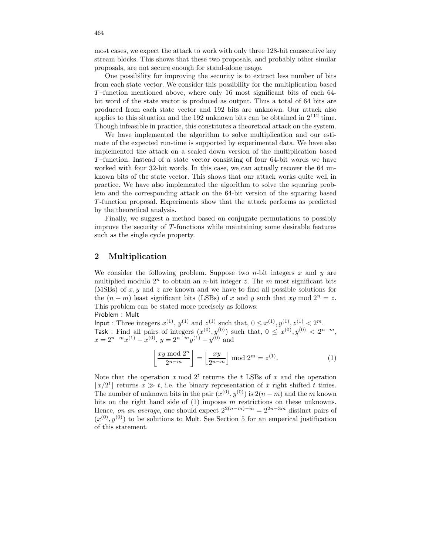most cases, we expect the attack to work with only three 128-bit consecutive key stream blocks. This shows that these two proposals, and probably other similar proposals, are not secure enough for stand-alone usage.

One possibility for improving the security is to extract less number of bits from each state vector. We consider this possibility for the multiplication based T–function mentioned above, where only 16 most significant bits of each 64 bit word of the state vector is produced as output. Thus a total of 64 bits are produced from each state vector and 192 bits are unknown. Our attack also applies to this situation and the  $192$  unknown bits can be obtained in  $2^{112}$  time. Though infeasible in practice, this constitutes a theoretical attack on the system.

We have implemented the algorithm to solve multiplication and our estimate of the expected run-time is supported by experimental data. We have also implemented the attack on a scaled down version of the multiplication based T–function. Instead of a state vector consisting of four 64-bit words we have worked with four 32-bit words. In this case, we can actually recover the 64 unknown bits of the state vector. This shows that our attack works quite well in practice. We have also implemented the algorithm to solve the squaring problem and the corresponding attack on the 64-bit version of the squaring based T-function proposal. Experiments show that the attack performs as predicted by the theoretical analysis.

Finally, we suggest a method based on conjugate permutations to possibly improve the security of T-functions while maintaining some desirable features such as the single cycle property.

# 2 Multiplication

We consider the following problem. Suppose two *n*-bit integers  $x$  and  $y$  are multiplied modulo  $2^n$  to obtain an *n*-bit integer z. The *m* most significant bits (MSBs) of  $x, y$  and  $z$  are known and we have to find all possible solutions for the  $(n - m)$  least significant bits (LSBs) of x and y such that xy mod  $2^n = z$ . This problem can be stated more precisely as follows: Problem : Mult

Input : Three integers  $x^{(1)}$ ,  $y^{(1)}$  and  $z^{(1)}$  such that,  $0 \le x^{(1)}$ ,  $y^{(1)}$ ,  $z^{(1)} < 2^m$ . Task : Find all pairs of integers  $(x^{(0)}, y^{(0)})$  such that,  $0 \leq x^{(0)}, y^{(0)} < 2^{n-m}$ ,  $x = 2^{n-m}x^{(1)} + x^{(0)}, y = 2^{n-m}y^{(1)} + y^{(0)}$  and

$$
\left\lfloor \frac{xy \bmod 2^n}{2^{n-m}} \right\rfloor = \left\lfloor \frac{xy}{2^{n-m}} \right\rfloor \bmod 2^m = z^{(1)}.
$$
 (1)

Note that the operation  $x \mod 2^t$  returns the t LSBs of  $x$  and the operation  $\lfloor x/2^t \rfloor$  returns  $x \gg t$ , i.e. the binary representation of x right shifted t times. The number of unknown bits in the pair  $(x^{(0)}, y^{(0)})$  is  $2(n-m)$  and the m known bits on the right hand side of  $(1)$  imposes m restrictions on these unknowns. Hence, on an average, one should expect  $2^{2(n-m)-m} = 2^{2n-3m}$  distinct pairs of  $(x^{(0)}, y^{(0)})$  to be solutions to Mult. See Section 5 for an emperical justification of this statement.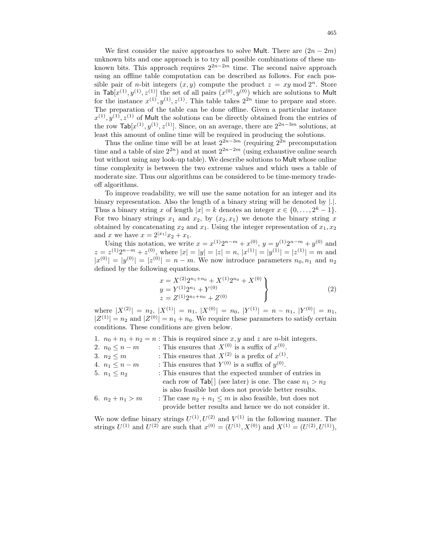We first consider the naive approaches to solve Mult. There are  $(2n - 2m)$ unknown bits and one approach is to try all possible combinations of these unknown bits. This approach requires  $2^{2n-2m}$  time. The second naive approach using an offline table computation can be described as follows. For each possible pair of *n*-bit integers  $(x, y)$  compute the product  $z = xy \mod 2^n$ . Store in  $\textsf{Tab}[x^{(1)}, y^{(1)}, z^{(1)}]$  the set of all pairs  $(x^{(0)}, y^{(0)})$  which are solutions to Mult for the instance  $x^{(1)}, y^{(1)}, z^{(1)}$ . This table takes  $2^{2n}$  time to prepare and store. The preparation of the table can be done offline. Given a particular instance  $x^{(1)}, y^{(1)}, z^{(1)}$  of Mult the solutions can be directly obtained from the entries of the row  $\textsf{Tab}[x^{(1)}, y^{(1)}, z^{(1)}]$ . Since, on an average, there are  $2^{2n-3m}$  solutions, at least this amount of online time will be required in producing the solutions.

Thus the online time will be at least  $2^{2n-3m}$  (requiring  $2^{2n}$  precomputation time and a table of size  $2^{2n}$ ) and at most  $2^{2n-2m}$  (using exhaustive online search but without using any look-up table). We describe solutions to Mult whose online time complexity is between the two extreme values and which uses a table of moderate size. Thus our algorithms can be considered to be time-memory tradeoff algorithms.

To improve readability, we will use the same notation for an integer and its binary representation. Also the length of a binary string will be denoted by |.|. Thus a binary string x of length  $|x| = k$  denotes an integer  $x \in \{0, \ldots, 2^k - 1\}.$ For two binary strings  $x_1$  and  $x_2$ , by  $(x_2, x_1)$  we denote the binary string x obtained by concatenating  $x_2$  and  $x_1$ . Using the integer representation of  $x_1, x_2$ and x we have  $x = 2^{|x_1|}x_2 + x_1$ .

Using this notation, we write  $x = x^{(1)}2^{n-m} + x^{(0)}$ ,  $y = y^{(1)}2^{n-m} + y^{(0)}$  and  $z = z^{(1)}2^{n-m} + z^{(0)}$ , where  $|x| = |y| = |z| = n$ ,  $|x^{(1)}| = |y^{(1)}| = |z^{(1)}| = m$  and  $|x^{(0)}| = |y^{(0)}| = |z^{(0)}| = n - m$ . We now introduce parameters  $n_0, n_1$  and  $n_2$ defined by the following equations.

$$
x = X^{(2)}2^{n_1+n_0} + X^{(1)}2^{n_0} + X^{(0)}
$$
  
\n
$$
y = Y^{(1)}2^{n_1} + Y^{(0)}
$$
  
\n
$$
z = Z^{(1)}2^{n_1+n_0} + Z^{(0)}
$$
\n(2)

where  $|X^{(2)}| = n_2$ ,  $|X^{(1)}| = n_1$ ,  $|X^{(0)}| = n_0$ ,  $|Y^{(1)}| = n - n_1$ ,  $|Y^{(0)}| = n_1$ ,  $|Z^{(1)}| = n_2$  and  $|Z^{(0)}| = n_1 + n_0$ . We require these parameters to satisfy certain conditions. These conditions are given below.

- 1.  $n_0 + n_1 + n_2 = n$ : This is required since  $x, y$  and  $z$  are *n*-bit integers.
- 2.  $n_0 \leq n m$  : This ensures that  $X^{(0)}$  is a suffix of  $x^{(0)}$ .
- 3.  $n_2 \leq m$  : This ensures that  $X^{(2)}$  is a prefix of  $x^{(1)}$ .
- 4.  $n_1 \leq n-m$  : This ensures that  $Y^{(0)}$  is a suffix of  $y^{(0)}$ .
- 5.  $n_1 \leq n_2$  : This ensures that the expected number of entries in each row of  $\text{Tab}[\ ]$  (see later) is one. The case  $n_1 > n_2$ is also feasible but does not provide better results. 6.  $n_2 + n_1 > m$  : The case  $n_2 + n_1 \leq m$  is also feasible, but does not provide better results and hence we do not consider it.

We now define binary strings  $U^{(1)}$ ,  $U^{(2)}$  and  $V^{(1)}$  in the following manner. The strings  $U^{(1)}$  and  $U^{(2)}$  are such that  $x^{(0)} = (U^{(1)}, X^{(0)})$  and  $X^{(1)} = (U^{(2)}, U^{(1)}),$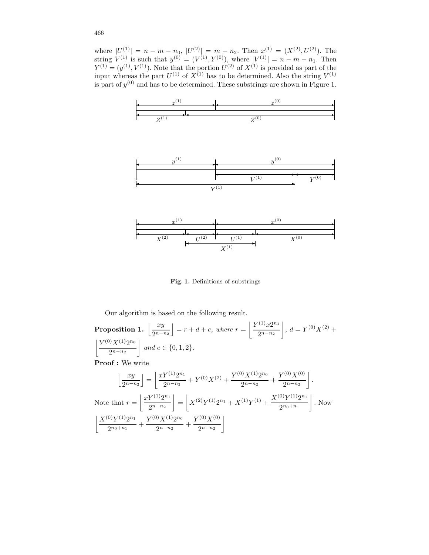where  $|U^{(1)}| = n - n - n_0$ ,  $|U^{(2)}| = m - n_2$ . Then  $x^{(1)} = (X^{(2)}, U^{(2)})$ . The string  $V^{(1)}$  is such that  $y^{(0)} = (V^{(1)}, Y^{(0)})$ , where  $|V^{(1)}| = n - m - n_1$ . Then  $Y^{(1)} = (y^{(1)}, V^{(1)})$ . Note that the portion  $U^{(2)}$  of  $X^{(1)}$  is provided as part of the input whereas the part  $U^{(1)}$  of  $X^{(1)}$  has to be determined. Also the string  $V^{(1)}$ is part of  $y^{(0)}$  and has to be determined. These substrings are shown in Figure 1.



Fig. 1. Definitions of substrings

Our algorithm is based on the following result.

Proposition 1.  $\frac{xy}{2x-x}$  $\left[ \frac{xy}{2^{n-n_2}} \right] = r + d + c$ , where  $r = \left[ \frac{Y^{(1)}x2^{n_1}}{2^{n-n_2}} \right]$  $2^{n-n_2}$  $, d = Y^{(0)}X^{(2)} +$  $\mid Y^{(0)}X^{(1)}2^{n_0}$  $2^{n-n_2}$ | and  $c \in \{0, 1, 2\}$ . Proof : We write

$$
\left\lfloor \frac{xy}{2^{n-n_2}} \right\rfloor = \left\lfloor \frac{xf^{(1)}2^{n_1}}{2^{n-n_2}} + Y^{(0)}X^{(2)} + \frac{Y^{(0)}X^{(1)}2^{n_0}}{2^{n-n_2}} + \frac{Y^{(0)}X^{(0)}}{2^{n-n_2}} \right\rfloor.
$$
  
Note that  $r = \left\lfloor \frac{xf^{(1)}2^{n_1}}{2^{n-n_2}} \right\rfloor = \left\lfloor X^{(2)}Y^{(1)}2^{n_1} + X^{(1)}Y^{(1)} + \frac{X^{(0)}Y^{(1)}2^{n_1}}{2^{n_0+n_1}} \right\rfloor$ . Now  

$$
\left\lfloor \frac{X^{(0)}Y^{(1)}2^{n_1}}{2^{n_0+n_1}} + \frac{Y^{(0)}X^{(1)}2^{n_0}}{2^{n-n_2}} + \frac{Y^{(0)}X^{(0)}}{2^{n-n_2}} \right\rfloor
$$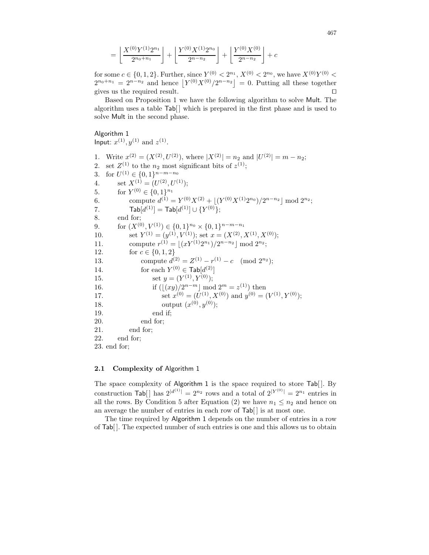$$
= \left\lfloor \frac{X^{(0)}Y^{(1)}2^{n_1}}{2^{n_0+n_1}} \right\rfloor + \left\lfloor \frac{Y^{(0)}X^{(1)}2^{n_0}}{2^{n-n_2}} \right\rfloor + \left\lfloor \frac{Y^{(0)}X^{(0)}}{2^{n-n_2}} \right\rfloor + c
$$

for some  $c \in \{0, 1, 2\}$ . Further, since  $Y^{(0)} < 2^{n_1}, X^{(0)} < 2^{n_0}$ , we have  $X^{(0)}Y^{(0)} <$  $2^{n_0+n_1} = 2^{n-n_2}$  and hence  $|Y^{(0)}X^{(0)}/2^{n-n_2}| = 0$ . Putting all these together gives us the required result.  $\Box$ 

Based on Proposition 1 we have the following algorithm to solve Mult. The algorithm uses a table  $\text{Tab}$  which is prepared in the first phase and is used to solve Mult in the second phase.

#### Algorithm 1

Input:  $x^{(1)}, y^{(1)}$  and  $z^{(1)}$ .

1. Write  $x^{(2)} = (X^{(2)}, U^{(2)})$ , where  $|X^{(2)}| = n_2$  and  $|U^{(2)}| = m - n_2$ ; 2. set  $Z^{(1)}$  to the  $n_2$  most significant bits of  $z^{(1)}$ ; 3. for  $U^{(1)} \in \{0, 1\}^{n-m-n_0}$ 4. set  $X^{(1)} = (U^{(2)}, U^{(1)});$ 5. for  $Y^{(0)} \in \{0,1\}^{n_1}$ 6. compute  $d^{(1)} = Y^{(0)}X^{(2)} + \lfloor (Y^{(0)}X^{(1)}2^{n_0})/2^{n-n_2} \rfloor \bmod 2^{n_2};$ 7.  $\textsf{Tab}[d^{(1)}]=\textsf{Tab}[d^{(1)}]\cup \{Y^{(0)}\};$ 8. end for; 9. for  $(X^{(0)}, V^{(1)}) \in \{0, 1\}^{n_0} \times \{0, 1\}^{n-m-n_1}$ 10. set  $Y^{(1)} = (y^{(1)}, V^{(1)})$ ; set  $x = (X^{(2)}, X^{(1)}, X^{(0)})$ ; 11. compute  $r^{(1)} = \lfloor (xY^{(1)}2^{n_1})/2^{n-n_2} \rfloor \text{ mod } 2^{n_2};$ 12. for  $c \in \{0, 1, 2\}$ 13. compute  $d^{(2)} = Z^{(1)} - r^{(1)} - c \pmod{2^{n_2}};$ 14. for each  $Y^{(0)} \in \textsf{Tab}[d^{(2)}]$ 15. set  $y = (Y^{(1)}, Y^{(0)});$ 16. if  $(\lfloor (xy)/2^{n-m} \rfloor \mod 2^m = z^{(1)})$  then 17. set  $x^{(0)} = (U^{(1)}, X^{(0)})$  and  $y^{(0)} = (V^{(1)}, Y^{(0)})$ ; 18. output  $(x^{(0)}, y^{(0)})$ ; 19. end if; 20. end for; 21. end for; 22. end for; 23. end for;

## 2.1 Complexity of Algorithm 1

The space complexity of Algorithm 1 is the space required to store Tab[]. By construction  $\text{Tab}[\ ]$  has  $2^{|d^{(1)}|} = 2^{n_2}$  rows and a total of  $2^{|Y^{(0)}|} = 2^{n_1}$  entries in all the rows. By Condition 5 after Equation (2) we have  $n_1 \leq n_2$  and hence on an average the number of entries in each row of  $\text{Tab}$  is at most one.

The time required by Algorithm 1 depends on the number of entries in a row of Tab[ ]. The expected number of such entries is one and this allows us to obtain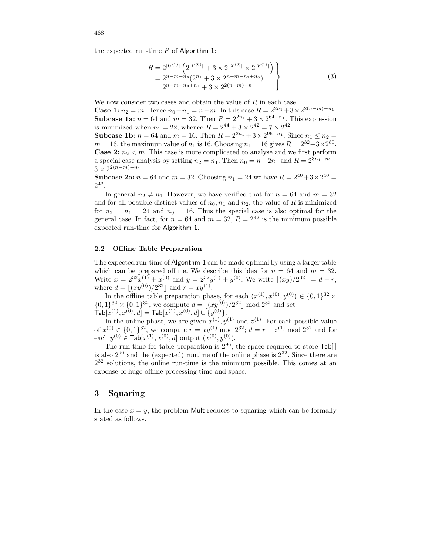the expected run-time  $R$  of Algorithm 1:

$$
R = 2^{|U^{(1)}|} \left( 2^{|Y^{(0)}|} + 3 \times 2^{|X^{(0)}|} \times 2^{|V^{(1)}|} \right) = 2^{n-m-n_0} (2^{n_1} + 3 \times 2^{n-m-n_1+n_0}) = 2^{n-m-n_0+n_1} + 3 \times 2^{2(n-m)-n_1}
$$
\n(3)

We now consider two cases and obtain the value of  ${\cal R}$  in each case.

**Case 1:**  $n_2 = m$ . Hence  $n_0 + n_1 = n - m$ . In this case  $R = 2^{2n_1} + 3 \times 2^{2(n-m)-n_1}$ . **Subcase 1a:**  $n = 64$  and  $m = 32$ . Then  $R = 2^{2n_1} + 3 \times 2^{64-n_1}$ . This expression is minimized when  $n_1 = 22$ , whence  $R = 2^{44} + 3 \times 2^{42} = 7 \times 2^{42}$ .

**Subcase 1b:**  $n = 64$  and  $m = 16$ . Then  $R = 2^{2n_1} + 3 \times 2^{96-n_1}$ . Since  $n_1 \le n_2 =$  $m = 16$ , the maximum value of  $n_1$  is 16. Choosing  $n_1 = 16$  gives  $R = 2^{32} + 3 \times 2^{80}$ . **Case 2:**  $n_2 < m$ . This case is more complicated to analyse and we first perform a special case analysis by setting  $n_2 = n_1$ . Then  $n_0 = n - 2n_1$  and  $R = 2^{3n_1 - m}$  +  $3 \times 2^{2(n-m)-n_1}.$ 

**Subcase 2a:**  $n = 64$  and  $m = 32$ . Choosing  $n_1 = 24$  we have  $R = 2^{40} + 3 \times 2^{40} =$  $2^{42}$ .

In general  $n_2 \neq n_1$ . However, we have verified that for  $n = 64$  and  $m = 32$ and for all possible distinct values of  $n_0, n_1$  and  $n_2$ , the value of R is minimized for  $n_2 = n_1 = 24$  and  $n_0 = 16$ . Thus the special case is also optimal for the general case. In fact, for  $n = 64$  and  $m = 32$ ,  $R = 2^{42}$  is the minimum possible expected run-time for Algorithm 1.

#### 2.2 Offline Table Preparation

The expected run-time of Algorithm 1 can be made optimal by using a larger table which can be prepared offline. We describe this idea for  $n = 64$  and  $m = 32$ . Write  $x = 2^{32}x^{(1)} + x^{(0)}$  and  $y = 2^{32}y^{(1)} + y^{(0)}$ . We write  $\lfloor (xy)/2^{32} \rfloor = d + r$ , where  $d = \lfloor (xy^{(0)})/2^{32} \rfloor$  and  $r = xy^{(1)}$ .

In the offline table preparation phase, for each  $(x^{(1)}, x^{(0)}, y^{(0)}) \in \{0, 1\}^{32}$  ×  $\{0,1\}^{32} \times \{0,1\}^{32}$ , we compute  $d = \lfloor (xy^{(0)})/2^{32} \rfloor \text{ mod } 2^{32}$  and set  $\mathsf{Tab}[x^{(1)}, x^{(0)}, d] = \mathsf{Tab}[x^{(1)}, x^{(0)}, d] \cup \{y^{(0)}\}.$ 

In the online phase, we are given  $x^{(1)}, y^{(1)}$  and  $z^{(1)}$ . For each possible value of  $x^{(0)} \in \{0,1\}^{32}$ , we compute  $r = xy^{(1)} \mod 2^{32}$ ;  $d = r - z^{(1)} \mod 2^{32}$  and for each  $y^{(0)} \in \textsf{Tab}[x^{(1)}, x^{(0)}, d]$  output  $(x^{(0)}, y^{(0)})$ .

The run-time for table preparation is  $2^{96}$ ; the space required to store  $\text{Tab}[\ ]$ is also  $2^{96}$  and the (expected) runtime of the online phase is  $2^{32}$ . Since there are 2 <sup>32</sup> solutions, the online run-time is the minimum possible. This comes at an expense of huge offline processing time and space.

#### 3 Squaring

In the case  $x = y$ , the problem Mult reduces to squaring which can be formally stated as follows.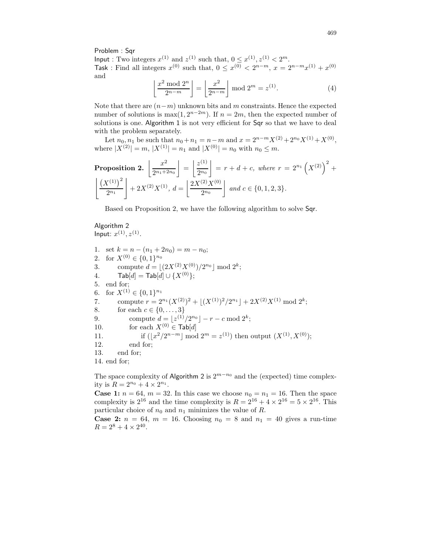Problem : Sqr

Input : Two integers  $x^{(1)}$  and  $z^{(1)}$  such that,  $0 \leq x^{(1)}$ ,  $z^{(1)} < 2^m$ . Task : Find all integers  $x^{(0)}$  such that,  $0 \le x^{(0)} < 2^{n-m}$ ,  $x = 2^{n-m}x^{(1)} + x^{(0)}$ and

$$
\left\lfloor \frac{x^2 \bmod 2^n}{2^{n-m}} \right\rfloor = \left\lfloor \frac{x^2}{2^{n-m}} \right\rfloor \bmod 2^m = z^{(1)}.
$$
 (4)

Note that there are  $(n-m)$  unknown bits and m constraints. Hence the expected number of solutions is  $\max(1, 2^{n-2m})$ . If  $n = 2m$ , then the expected number of solutions is one. Algorithm 1 is not very efficient for Sqr so that we have to deal with the problem separately.

Let  $n_0, n_1$  be such that  $n_0 + n_1 = n - m$  and  $x = 2^{n-m} X^{(2)} + 2^{n_0} X^{(1)} + X^{(0)}$ , where  $|X^{(2)}| = m$ ,  $|X^{(1)}| = n_1$  and  $|X^{(0)}| = n_0$  with  $n_0 \leq m$ .

**Proposition 2.** 
$$
\left[ \frac{x^2}{2^{n_1+2n_0}} \right] = \left[ \frac{z^{(1)}}{2^{n_0}} \right] = r + d + c
$$
, where  $r = 2^{n_1} \left( X^{(2)} \right)^2 + \left[ \frac{\left( X^{(1)} \right)^2}{2^{n_1}} \right] + 2X^{(2)}X^{(1)}, d = \left[ \frac{2X^{(2)}X^{(0)}}{2^{n_0}} \right]$  and  $c \in \{0, 1, 2, 3\}$ .

Based on Proposition 2, we have the following algorithm to solve Sqr.

# Algorithm 2 Input:  $x^{(1)}, z^{(1)}$ .

1. set  $k = n - (n_1 + 2n_0) = m - n_0$ ; 2. for  $X^{(0)} \in \{0,1\}^{n_0}$ 3. compute  $d = \lfloor (2X^{(2)}X^{(0)})/2^{n_0} \rfloor \bmod 2^k;$ 4.  $\text{Tab}[d] = \text{Tab}[d] \cup \{X^{(0)}\};$ 5. end for; 6. for  $X^{(1)} \in \{0,1\}^{n_1}$ 7. compute  $r = 2^{n_1}(X^{(2)})^2 + \lfloor (X^{(1)})^2/2^{n_1} \rfloor + 2X^{(2)}X^{(1)} \bmod 2^k;$ 8. for each  $c \in \{0, ..., 3\}$ 9. compute  $d = \lfloor z^{(1)}/2^{n_0} \rfloor - r - c \mod 2^k;$ 10. for each  $X^{(0)} \in \textsf{Tab}[d]$ 11. if  $(\lfloor x^2/2^{n-m} \rfloor \mod 2^m = z^{(1)})$  then output  $(X^{(1)}, X^{(0)})$ ; 12. end for; 13. end for; 14. end for;

The space complexity of Algorithm 2 is  $2^{m-n_0}$  and the (expected) time complexity is  $R = 2^{n_0} + 4 \times 2^{n_1}$ .

**Case 1:**  $n = 64$ ,  $m = 32$ . In this case we choose  $n_0 = n_1 = 16$ . Then the space complexity is  $2^{16}$  and the time complexity is  $R = 2^{16} + 4 \times 2^{16} = 5 \times 2^{16}$ . This particular choice of  $n_0$  and  $n_1$  minimizes the value of R.

**Case 2:**  $n = 64$ ,  $m = 16$ . Choosing  $n_0 = 8$  and  $n_1 = 40$  gives a run-time  $R = 2^8 + 4 \times 2^{40}$ .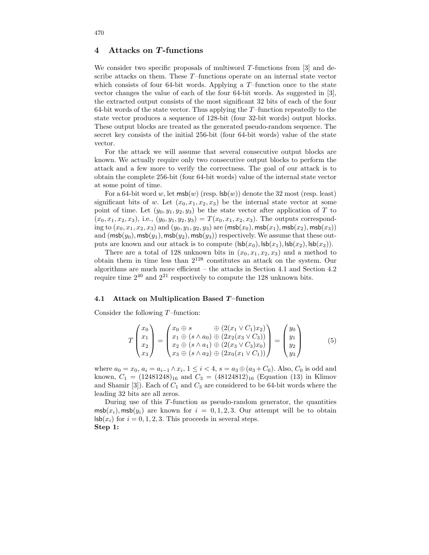# 4 Attacks on T-functions

We consider two specific proposals of multiword  $T$ -functions from [3] and describe attacks on them. These T–functions operate on an internal state vector which consists of four 64-bit words. Applying a  $T$ -function once to the state vector changes the value of each of the four 64-bit words. As suggested in [3], the extracted output consists of the most significant 32 bits of each of the four 64-bit words of the state vector. Thus applying the  $T$ -function repeatedly to the state vector produces a sequence of 128-bit (four 32-bit words) output blocks. These output blocks are treated as the generated pseudo-random sequence. The secret key consists of the initial 256-bit (four 64-bit words) value of the state vector.

For the attack we will assume that several consecutive output blocks are known. We actually require only two consecutive output blocks to perform the attack and a few more to verify the correctness. The goal of our attack is to obtain the complete 256-bit (four 64-bit words) value of the internal state vector at some point of time.

For a 64-bit word w, let  $m\mathsf{sb}(w)$  (resp.  $\mathsf{lsb}(w)$ ) denote the 32 most (resp. least) significant bits of w. Let  $(x_0, x_1, x_2, x_3)$  be the internal state vector at some point of time. Let  $(y_0, y_1, y_2, y_3)$  be the state vector after application of T to  $(x_0, x_1, x_2, x_3)$ , i.e.,  $(y_0, y_1, y_2, y_3) = T(x_0, x_1, x_2, x_3)$ . The outputs corresponding to  $(x_0, x_1, x_2, x_3)$  and  $(y_0, y_1, y_2, y_3)$  are  $({\sf msb}(x_0), {\sf msb}(x_1), {\sf msb}(x_2), {\sf msb}(x_3))$ and  $(msb(y_0),msb(y_1),msb(y_2),msb(y_3))$  respectively. We assume that these outputs are known and our attack is to compute  $(Isb(x_0), Isb(x_1), Isb(x_2), Isb(x_3)).$ 

There are a total of 128 unknown bits in  $(x_0, x_1, x_2, x_3)$  and a method to obtain them in time less than 2 <sup>128</sup> constitutes an attack on the system. Our algorithms are much more efficient – the attacks in Section 4.1 and Section 4.2 require time  $2^{40}$  and  $2^{21}$  respectively to compute the 128 unknown bits.

#### 4.1 Attack on Multiplication Based T–function

Consider the following  $T$ –function:

$$
T\begin{pmatrix} x_0 \\ x_1 \\ x_2 \\ x_3 \end{pmatrix} = \begin{pmatrix} x_0 \oplus s & \oplus (2(x_1 \vee C_1)x_2) \\ x_1 \oplus (s \wedge a_0) \oplus (2x_2(x_3 \vee C_3)) \\ x_2 \oplus (s \wedge a_1) \oplus (2(x_3 \vee C_3)x_0) \\ x_3 \oplus (s \wedge a_2) \oplus (2x_0(x_1 \vee C_1)) \end{pmatrix} = \begin{pmatrix} y_0 \\ y_1 \\ y_2 \\ y_3 \end{pmatrix} \tag{5}
$$

where  $a_0 = x_0, a_i = a_{i-1} \wedge x_i, 1 \leq i < 4, s = a_3 \oplus (a_3 + C_0)$ . Also,  $C_0$  is odd and known,  $C_1 = (12481248)_{16}$  and  $C_3 = (48124812)_{16}$  (Equation (13) in Klimov and Shamir [3]). Each of  $C_1$  and  $C_3$  are considered to be 64-bit words where the leading 32 bits are all zeros.

During use of this T-function as pseudo-random generator, the quantities  $\text{msb}(x_i), \text{msb}(y_i)$  are known for  $i = 0, 1, 2, 3$ . Our attempt will be to obtain  $\mathsf{lsb}(x_i)$  for  $i = 0, 1, 2, 3$ . This proceeds in several steps. Step 1: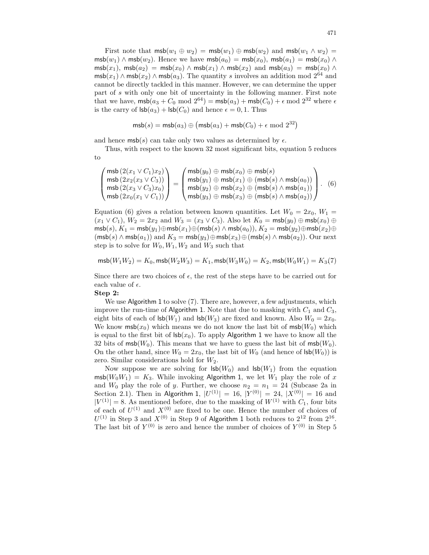First note that  $m\mathsf{sb}(w_1 \oplus w_2) = m\mathsf{sb}(w_1) \oplus m\mathsf{sb}(w_2)$  and  $m\mathsf{sb}(w_1 \wedge w_2) =$ msb $(w_1) \wedge \text{msb}(w_2)$ . Hence we have  $\text{msb}(a_0) = \text{msb}(x_0)$ ,  $\text{msb}(a_1) = \text{msb}(x_0) \wedge \text{msb}(w_2)$  $m\mathsf{sb}(x_1)$ ,  $m\mathsf{sb}(a_2) = m\mathsf{sb}(x_0) \wedge m\mathsf{sb}(x_1) \wedge m\mathsf{sb}(x_2)$  and  $m\mathsf{sb}(a_3) = m\mathsf{sb}(x_0) \wedge m\mathsf{sb}(x_3)$  $\mathsf{msb}(x_1) \wedge \mathsf{msb}(x_2) \wedge \mathsf{msb}(a_3)$ . The quantity s involves an addition mod  $2^{64}$  and cannot be directly tackled in this manner. However, we can determine the upper part of s with only one bit of uncertainty in the following manner. First note that we have,  $\textsf{msb}(a_3+C_0 \mod 2^{64}) = \textsf{msb}(a_3) + \textsf{msb}(C_0) + \epsilon \mod 2^{32}$  where  $\epsilon$ is the carry of  $\text{lsb}(a_3) + \text{lsb}(C_0)$  and hence  $\epsilon = 0, 1$ . Thus

$$
\mathsf{msb}(s) = \mathsf{msb}(a_3) \oplus \big(\mathsf{msb}(a_3) + \mathsf{msb}(C_0) + \epsilon \bmod 2^{32}\big)
$$

and hence  $\textsf{msb}(s)$  can take only two values as determined by  $\epsilon$ .

Thus, with respect to the known 32 most significant bits, equation 5 reduces to

$$
\begin{pmatrix}\n\operatorname{msb}(2(x_1 \vee C_1)x_2) \\
\operatorname{msb}(2x_2(x_3 \vee C_3)) \\
\operatorname{msb}(2(x_3 \vee C_3)x_0) \\
\operatorname{msb}(2x_0(x_1 \vee C_1))\n\end{pmatrix} = \begin{pmatrix}\n\operatorname{msb}(y_0) \oplus \operatorname{msb}(x_0) \oplus \operatorname{msb}(s) \\
\operatorname{msb}(y_1) \oplus \operatorname{msb}(x_1) \oplus (\operatorname{msb}(s) \wedge \operatorname{msb}(a_0)) \\
\operatorname{msb}(y_2) \oplus \operatorname{msb}(x_2) \oplus (\operatorname{msb}(s) \wedge \operatorname{msb}(a_1))\n\end{pmatrix}.
$$
\n(6)

Equation (6) gives a relation between known quantities. Let  $W_0 = 2x_0, W_1 =$  $(x_1 \vee C_1), W_2 = 2x_2$  and  $W_3 = (x_3 \vee C_3)$ . Also let  $K_0 = \text{msb}(y_0) \oplus \text{msb}(x_0) \oplus$  $m\mathsf{s}(\mathsf{b}(s), K_1 = \mathsf{m}\mathsf{s}\mathsf{b}(y_1) \oplus \mathsf{m}\mathsf{s}\mathsf{b}(x_1) \oplus (\mathsf{m}\mathsf{s}\mathsf{b}(s) \wedge \mathsf{m}\mathsf{s}\mathsf{b}(a_0)), K_2 = \mathsf{m}\mathsf{s}\mathsf{b}(y_2) \oplus \mathsf{m}\mathsf{s}\mathsf{b}(x_2) \oplus$  $(\text{msb}(s) \land \text{msb}(a_1))$  and  $K_3 = \text{msb}(y_3) \oplus \text{msb}(x_3) \oplus (\text{msb}(s) \land \text{msb}(a_2)).$  Our next step is to solve for  $W_0, W_1, W_2$  and  $W_3$  such that

$$
\mathsf{msb}(W_1 W_2) = K_0, \mathsf{msb}(W_2 W_3) = K_1, \mathsf{msb}(W_3 W_0) = K_2, \mathsf{msb}(W_0 W_1) = K_3(7)
$$

Since there are two choices of  $\epsilon$ , the rest of the steps have to be carried out for each value of  $\epsilon$ .

## Step 2:

We use Algorithm 1 to solve (7). There are, however, a few adjustments, which improve the run-time of Algorithm 1. Note that due to masking with  $C_1$  and  $C_3$ , eight bits of each of  $\text{lsb}(W_1)$  and  $\text{lsb}(W_3)$  are fixed and known. Also  $W_0 = 2x_0$ . We know  $\text{msb}(x_0)$  which means we do not know the last bit of  $\text{msb}(W_0)$  which is equal to the first bit of  $\text{lsb}(x_0)$ . To apply Algorithm 1 we have to know all the 32 bits of msb( $W_0$ ). This means that we have to guess the last bit of msb( $W_0$ ). On the other hand, since  $W_0 = 2x_0$ , the last bit of  $W_0$  (and hence of  $\text{lsb}(W_0)$ ) is zero. Similar considerations hold for  $W_2$ .

Now suppose we are solving for  $\text{lsb}(W_0)$  and  $\text{lsb}(W_1)$  from the equation  $\text{msb}(W_0W_1) = K_3$ . While invoking Algorithm 1, we let  $W_1$  play the role of x and  $W_0$  play the role of y. Further, we choose  $n_2 = n_1 = 24$  (Subcase 2a in Section 2.1). Then in Algorithm 1,  $|U^{(1)}| = 16$ ,  $|Y^{(0)}| = 24$ ,  $|X^{(0)}| = 16$  and  $|V^{(1)}| = 8$ . As mentioned before, due to the masking of  $W^{(1)}$  with  $C_1$ , four bits of each of  $U^{(1)}$  and  $X^{(0)}$  are fixed to be one. Hence the number of choices of  $U^{(1)}$  in Step 3 and  $X^{(0)}$  in Step 9 of Algorithm 1 both reduces to  $2^{12}$  from  $2^{16}$ . The last bit of  $Y^{(0)}$  is zero and hence the number of choices of  $Y^{(0)}$  in Step 5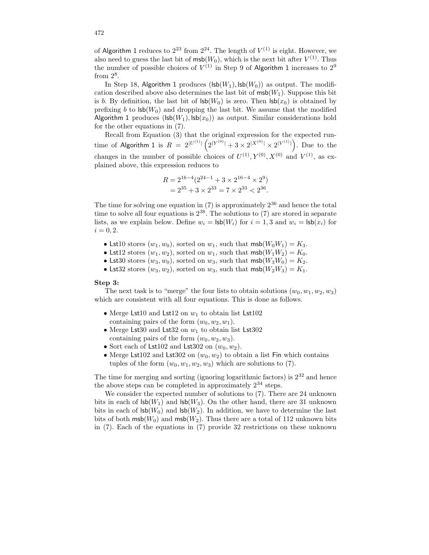of Algorithm 1 reduces to  $2^{23}$  from  $2^{24}$ . The length of  $V^{(1)}$  is eight. However, we also need to guess the last bit of  $\textsf{msb}(W_0)$ , which is the next bit after  $V^{(1)}$ . Thus the number of possible choices of  $V^{(1)}$  in Step 9 of Algorithm 1 increases to  $2^9$ from  $2^8$ .

In Step 18, Algorithm 1 produces  $(Isb(W_1), Isb(W_0))$  as output. The modification described above also determines the last bit of  $\textsf{msb}(W_1)$ . Suppose this bit is b. By definition, the last bit of  $\text{lsb}(W_0)$  is zero. Then  $\text{lsb}(x_0)$  is obtained by prefixing b to  $\text{lsb}(W_0)$  and dropping the last bit. We assume that the modified Algorithm 1 produces ( $\text{lsb}(W_1)$ ,  $\text{lsb}(x_0)$ ) as output. Similar considerations hold for the other equations in (7).

Recall from Equation (3) that the original expression for the expected runtime of Algorithm 1 is  $R = 2^{|U^{(1)}|} \left( 2^{|Y^{(0)}|} + 3 \times 2^{|X^{(0)}|} \times 2^{|V^{(1)}|} \right)$ . Due to the changes in the number of possible choices of  $U^{(1)}, Y^{(0)}, X^{(0)}$  and  $V^{(1)}$ , as explained above, this expression reduces to

$$
R = 2^{16-4} (2^{24-1} + 3 \times 2^{16-4} \times 2^9)
$$
  
=  $2^{35} + 3 \times 2^{33} = 7 \times 2^{33} < 2^{36}$ .

The time for solving one equation in  $(7)$  is approximately  $2^{36}$  and hence the total time to solve all four equations is  $2^{38}$ . The solutions to (7) are stored in separate lists, as we explain below. Define  $w_i = \textsf{lsb}(W_i)$  for  $i = 1, 3$  and  $w_i = \textsf{lsb}(x_i)$  for  $i = 0, 2.$ 

- Lst10 stores  $(w_1, w_0)$ , sorted on  $w_1$ , such that  $\textsf{msb}(W_0W_1) = K_3$ .
- Lst12 stores  $(w_1, w_2)$ , sorted on  $w_1$ , such that  $\textsf{msb}(W_1W_2) = K_0$ .
- Lst30 stores  $(w_3, w_0)$ , sorted on  $w_3$ , such that  $\textsf{msb}(W_3W_0) = K_2$ .
- Lst32 stores  $(w_3, w_2)$ , sorted on  $w_3$ , such that  $\textsf{msb}(W_2W_3) = K_1$ .

#### Step 3:

The next task is to "merge" the four lists to obtain solutions  $(w_0, w_1, w_2, w_3)$ which are consistent with all four equations. This is done as follows.

- Merge Lst10 and Lst12 on  $w_1$  to obtain list Lst102 containing pairs of the form  $(w_0, w_2, w_1)$ .
- Merge Lst30 and Lst32 on  $w_1$  to obtain list Lst302 containing pairs of the form  $(w_0, w_2, w_3)$ .
- Sort each of Lst102 and Lst302 on  $(w_0, w_2)$ .
- Merge Lst102 and Lst302 on  $(w_0, w_2)$  to obtain a list Fin which contains tuples of the form  $(w_0, w_1, w_2, w_3)$  which are solutions to (7).

The time for merging and sorting (ignoring logarithmic factors) is  $2^{32}$  and hence the above steps can be completed in approximately  $2^{34}$  steps.

We consider the expected number of solutions to (7). There are 24 unknown bits in each of  $\text{lsb}(W_1)$  and  $\text{lsb}(W_3)$ . On the other hand, there are 31 unknown bits in each of  $\text{lsb}(W_0)$  and  $\text{lsb}(W_2)$ . In addition, we have to determine the last bits of both  $m\mathsf{sb}(W_0)$  and  $m\mathsf{sb}(W_2)$ . Thus there are a total of 112 unknown bits in (7). Each of the equations in (7) provide 32 restrictions on these unknown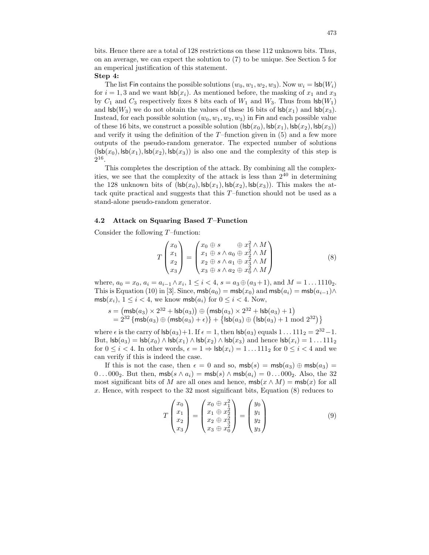bits. Hence there are a total of 128 restrictions on these 112 unknown bits. Thus, on an average, we can expect the solution to (7) to be unique. See Section 5 for an emperical justification of this statement.

## Step 4:

The list Fin contains the possible solutions  $(w_0, w_1, w_2, w_3)$ . Now  $w_i = \textsf{lsb}(W_i)$ for  $i = 1, 3$  and we want  $\mathsf{lsb}(x_i)$ . As mentioned before, the masking of  $x_1$  and  $x_3$ by  $C_1$  and  $C_3$  respectively fixes 8 bits each of  $W_1$  and  $W_3$ . Thus from  $\textsf{lsb}(W_1)$ and  $\mathsf{lsb}(W_3)$  we do not obtain the values of these 16 bits of  $\mathsf{lsb}(x_1)$  and  $\mathsf{lsb}(x_3)$ . Instead, for each possible solution  $(w_0, w_1, w_2, w_3)$  in Fin and each possible value of these 16 bits, we construct a possible solution  $(lsb(x_0), lsb(x_1), lsb(x_2), lsb(x_3))$ and verify it using the definition of the  $T$ –function given in  $(5)$  and a few more outputs of the pseudo-random generator. The expected number of solutions  $(\textsf{lsb}(x_0), \textsf{lsb}(x_1), \textsf{lsb}(x_2), \textsf{lsb}(x_3))$  is also one and the complexity of this step is  $2^{16}$ .

This completes the description of the attack. By combining all the complexities, we see that the complexity of the attack is less than  $2^{40}$  in determining the 128 unknown bits of  $(lsb(x_0), lsb(x_1), lsb(x_2), lsb(x_3))$ . This makes the attack quite practical and suggests that this  $T$ –function should not be used as a stand-alone pseudo-random generator.

## 4.2 Attack on Squaring Based T–Function

Consider the following  $T$ –function:

$$
T\begin{pmatrix} x_0 \\ x_1 \\ x_2 \\ x_3 \end{pmatrix} = \begin{pmatrix} x_0 \oplus s & \oplus x_1^2 \wedge M \\ x_1 \oplus s \wedge a_0 \oplus x_2^2 \wedge M \\ x_2 \oplus s \wedge a_1 \oplus x_3^2 \wedge M \\ x_3 \oplus s \wedge a_2 \oplus x_0^2 \wedge M \end{pmatrix} \tag{8}
$$

where,  $a_0 = x_0$ ,  $a_i = a_{i-1} \wedge x_i$ ,  $1 \leq i < 4$ ,  $s = a_3 \oplus (a_3 + 1)$ , and  $M = 1 \dots 1110_2$ . This is Equation (10) in [3]. Since,  $\textsf{msb}(a_0) = \textsf{msb}(x_0)$  and  $\textsf{msb}(a_i) = \textsf{msb}(a_{i-1}) \wedge$  $\text{msb}(x_i), 1 \leq i < 4$ , we know  $\text{msb}(a_i)$  for  $0 \leq i < 4$ . Now,

$$
\begin{array}{l} s = \left(\mathsf{msb}(a_3) \times 2^{32} + \mathsf{lsb}(a_3)\right) \oplus \left(\mathsf{msb}(a_3) \times 2^{32} + \mathsf{lsb}(a_3) + 1\right) \\ = 2^{32} \left\{\mathsf{msb}(a_3) \oplus \left(\mathsf{msb}(a_3) + \epsilon\right)\right\} + \left\{\mathsf{lsb}(a_3) \oplus \left(\mathsf{lsb}(a_3) + 1 \bmod 2^{32}\right)\right\} \end{array}
$$

where  $\epsilon$  is the carry of  $\mathsf{lsb}(a_3) + 1$ . If  $\epsilon = 1$ , then  $\mathsf{lsb}(a_3)$  equals  $1 \dots 111_2 = 2^{32} - 1$ . But,  $\text{lsb}(a_3) = \text{lsb}(x_0) \land \text{lsb}(x_1) \land \text{lsb}(x_2) \land \text{lsb}(x_3)$  and hence  $\text{lsb}(x_i) = 1 \dots 111_2$ for  $0 \leq i < 4$ . In other words,  $\epsilon = 1 \Rightarrow \textsf{lsb}(x_i) = 1 \dots 111_2$  for  $0 \leq i < 4$  and we can verify if this is indeed the case.

If this is not the case, then  $\epsilon = 0$  and so,  $\textsf{msb}(s) = \textsf{msb}(a_3) \oplus \textsf{msb}(a_3) =$ 0... 000<sub>2</sub>. But then,  $\textsf{msb}(s \land a_i) = \textsf{msb}(s) \land \textsf{msb}(a_i) = 0 \dots 000_2$ . Also, the 32 most significant bits of M are all ones and hence,  $m\mathsf{sb}(x \wedge M) = m\mathsf{sb}(x)$  for all x. Hence, with respect to the 32 most significant bits, Equation (8) reduces to

$$
T\begin{pmatrix} x_0 \\ x_1 \\ x_2 \\ x_3 \end{pmatrix} = \begin{pmatrix} x_0 \oplus x_1^2 \\ x_1 \oplus x_2^2 \\ x_2 \oplus x_3^2 \\ x_3 \oplus x_0^2 \end{pmatrix} = \begin{pmatrix} y_0 \\ y_1 \\ y_2 \\ y_3 \end{pmatrix}
$$
(9)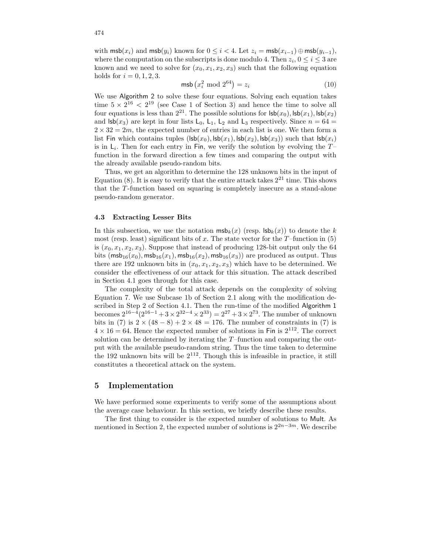with  $\textsf{msb}(x_i)$  and  $\textsf{msb}(y_i)$  known for  $0 \leq i < 4$ . Let  $z_i = \textsf{msb}(x_{i-1}) \oplus \textsf{msb}(y_{i-1}),$ where the computation on the subscripts is done modulo 4. Then  $z_i, 0 \le i \le 3$  are known and we need to solve for  $(x_0, x_1, x_2, x_3)$  such that the following equation holds for  $i = 0, 1, 2, 3$ .

$$
\mathsf{msb}\left(x_i^2 \bmod 2^{64}\right) = z_i \tag{10}
$$

We use Algorithm 2 to solve these four equations. Solving each equation takes time  $5 \times 2^{16} < 2^{19}$  (see Case 1 of Section 3) and hence the time to solve all four equations is less than  $2^{21}$ . The possible solutions for  $\mathsf{lsb}(x_0)$ ,  $\mathsf{lsb}(x_1)$ ,  $\mathsf{lsb}(x_2)$ and  $\mathsf{lsb}(x_3)$  are kept in four lists  $\mathsf{L}_0$ ,  $\mathsf{L}_1$ ,  $\mathsf{L}_2$  and  $\mathsf{L}_3$  respectively. Since  $n = 64$  $2 \times 32 = 2m$ , the expected number of entries in each list is one. We then form a list Fin which contains tuples  $(Isb(x_0), Isb(x_1), Isb(x_2), Isb(x_3))$  such that  $Isb(x_i)$ is in  $\mathsf{L}_i$ . Then for each entry in Fin, we verify the solution by evolving the  $T$ function in the forward direction a few times and comparing the output with the already available pseudo-random bits.

Thus, we get an algorithm to determine the 128 unknown bits in the input of Equation (8). It is easy to verify that the entire attack takes  $2^{21}$  time. This shows that the T-function based on squaring is completely insecure as a stand-alone pseudo-random generator.

#### 4.3 Extracting Lesser Bits

In this subsection, we use the notation  $\textsf{msb}_k(x)$  (resp.  $\textsf{lsb}_k(x)$ ) to denote the k most (resp. least) significant bits of x. The state vector for the  $T$ –function in (5) is  $(x_0, x_1, x_2, x_3)$ . Suppose that instead of producing 128-bit output only the 64 bits  $(msb_{16}(x_0), msb_{16}(x_1), msb_{16}(x_2), msb_{16}(x_3))$  are produced as output. Thus there are 192 unknown bits in  $(x_0, x_1, x_2, x_3)$  which have to be determined. We consider the effectiveness of our attack for this situation. The attack described in Section 4.1 goes through for this case.

The complexity of the total attack depends on the complexity of solving Equation 7. We use Subcase 1b of Section 2.1 along with the modification described in Step 2 of Section 4.1. Then the run-time of the modified Algorithm 1 becomes  $2^{16-4}(2^{16-1}+3\times2^{32-4}\times2^{33})=2^{27}+3\times2^{73}$ . The number of unknown bits in (7) is  $2 \times (48 - 8) + 2 \times 48 = 176$ . The number of constraints in (7) is  $4 \times 16 = 64$ . Hence the expected number of solutions in Fin is  $2^{112}$ . The correct solution can be determined by iterating the  $T$ –function and comparing the output with the available pseudo-random string. Thus the time taken to determine the 192 unknown bits will be  $2^{112}$ . Though this is infeasible in practice, it still constitutes a theoretical attack on the system.

## 5 Implementation

We have performed some experiments to verify some of the assumptions about the average case behaviour. In this section, we briefly describe these results.

The first thing to consider is the expected number of solutions to Mult. As mentioned in Section 2, the expected number of solutions is  $2^{2n-3m}$ . We describe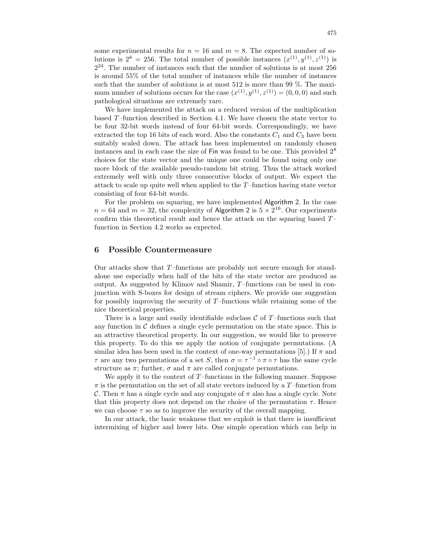some experimental results for  $n = 16$  and  $m = 8$ . The expected number of solutions is  $2^8 = 256$ . The total number of possible instances  $(x^{(1)}, y^{(1)}, z^{(1)})$  is  $2^{24}$ . The number of instances such that the number of solutions is at most 256 is around 55% of the total number of instances while the number of instances such that the number of solutions is at most 512 is more than 99 %. The maximum number of solutions occurs for the case  $(x^{(1)}, y^{(1)}, z^{(1)}) = (0, 0, 0)$  and such pathological situations are extremely rare.

We have implemented the attack on a reduced version of the multiplication based T–function described in Section 4.1. We have chosen the state vector to be four 32-bit words instead of four 64-bit words. Correspondingly, we have extracted the top 16 bits of each word. Also the constants  $C_1$  and  $C_3$  have been suitably scaled down. The attack has been implemented on randomly chosen instances and in each case the size of Fin was found to be one. This provided 2 8 choices for the state vector and the unique one could be found using only one more block of the available pseudo-random bit string. Thus the attack worked extremely well with only three consecutive blocks of output. We expect the attack to scale up quite well when applied to the T–function having state vector consisting of four 64-bit words.

For the problem on squaring, we have implemented Algorithm 2. In the case  $n = 64$  and  $m = 32$ , the complexity of Algorithm 2 is  $5 \times 2^{16}$ . Our experiments confirm this theoretical result and hence the attack on the squaring based  $T$ function in Section 4.2 works as expected.

## 6 Possible Countermeasure

Our attacks show that T–functions are probably not secure enough for standalone use especially when half of the bits of the state vector are produced as output. As suggested by Klimov and Shamir, T–functions can be used in conjunction with S-boxes for design of stream ciphers. We provide one suggestion for possibly improving the security of T–functions while retaining some of the nice theoretical properties.

There is a large and easily identifiable subclass  $\mathcal C$  of T-functions such that any function in  $\mathcal C$  defines a single cycle permutation on the state space. This is an attractive theoretical property. In our suggestion, we would like to preserve this property. To do this we apply the notion of conjugate permutations. (A similar idea has been used in the context of one-way permutations [5].) If  $\pi$  and  $\tau$  are any two permutations of a set S, then  $\sigma = \tau^{-1} \circ \pi \circ \tau$  has the same cycle structure as  $\pi$ ; further,  $\sigma$  and  $\pi$  are called conjugate permutations.

We apply it to the context of  $T$ –functions in the following manner. Suppose  $\pi$  is the permutation on the set of all state vectors induced by a T–function from C. Then  $\pi$  has a single cycle and any conjugate of  $\pi$  also has a single cycle. Note that this property does not depend on the choice of the permutation  $\tau$ . Hence we can choose  $\tau$  so as to improve the security of the overall mapping.

In our attack, the basic weakness that we exploit is that there is insufficient intermixing of higher and lower bits. One simple operation which can help in